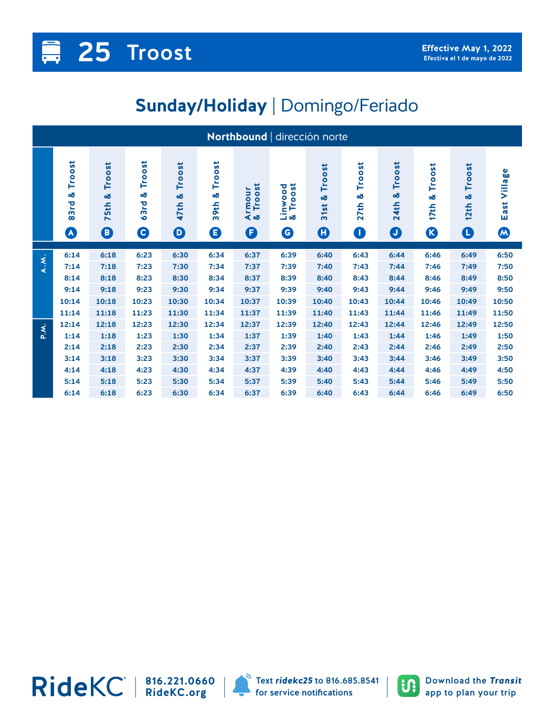## **Sunday/Holiday** | Domingo/Feriado

| Northbound   dirección norte |                                              |                                            |                                                                                          |                                               |                          |                                 |                                    |                                     |                                  |                                           |                           |                          |                                       |
|------------------------------|----------------------------------------------|--------------------------------------------|------------------------------------------------------------------------------------------|-----------------------------------------------|--------------------------|---------------------------------|------------------------------------|-------------------------------------|----------------------------------|-------------------------------------------|---------------------------|--------------------------|---------------------------------------|
|                              | Troost<br>œ<br>83rd<br>$\boldsymbol{\Omega}$ | Troost<br>œδ<br><b>75th</b><br>$\mathbf 0$ | $\overline{\mathbf{s}}$<br><b>Troos</b><br>œ<br>짇<br>$\overline{3}$<br>$\mathbf{\Theta}$ | Troost<br>οð<br>47th<br>$\boldsymbol{\Theta}$ | Troost<br>œ<br>39th<br>❶ | rmour<br>Troost<br>න්<br>⋖<br>O | Troost<br>Linwood<br>& Troost<br>G | Troost<br>οð<br>31st<br>$\bf \bf G$ | Troost<br>œ<br>27th<br>$\bullet$ | Troost<br>ೲ<br><b>24th</b><br>$\mathbf 0$ | Troost<br>οð<br>17th<br>B | Troost<br>œ<br>12th<br>O | East Village<br>$\boldsymbol{\omega}$ |
| A.M.                         | 6:14                                         | 6:18                                       | 6:23                                                                                     | 6:30                                          | 6:34                     | 6:37                            | 6:39                               | 6:40                                | 6:43                             | 6:44                                      | 6:46                      | 6:49                     | 6:50                                  |
|                              | 7:14                                         | 7:18                                       | 7:23                                                                                     | 7:30                                          | 7:34                     | 7:37                            | 7:39                               | 7:40                                | 7:43                             | 7:44                                      | 7:46                      | 7:49                     | 7:50                                  |
|                              | 8:14                                         | 8:18                                       | 8:23                                                                                     | 8:30                                          | 8:34                     | 8:37                            | 8:39                               | 8:40                                | 8:43                             | 8:44                                      | 8:46                      | 8:49                     | 8:50                                  |
|                              | 9:14                                         | 9:18                                       | 9:23                                                                                     | 9:30                                          | 9:34                     | 9:37                            | 9:39                               | 9:40                                | 9:43                             | 9:44                                      | 9:46                      | 9:49                     | 9:50                                  |
|                              | 10:14                                        | 10:18                                      | 10:23                                                                                    | 10:30                                         | 10:34                    | 10:37                           | 10:39                              | 10:40                               | 10:43                            | 10:44                                     | 10:46                     | 10:49                    | 10:50                                 |
|                              | 11:14                                        | 11:18                                      | 11:23                                                                                    | 11:30                                         | 11:34                    | 11:37                           | 11:39                              | 11:40                               | 11:43                            | 11:44                                     | 11:46                     | 11:49                    | 11:50                                 |
| P.X.                         | 12:14                                        | 12:18                                      | 12:23                                                                                    | 12:30                                         | 12:34                    | 12:37                           | 12:39                              | 12:40                               | 12:43                            | 12:44                                     | 12:46                     | 12:49                    | 12:50                                 |
|                              | 1:14                                         | 1:18                                       | 1:23                                                                                     | 1:30                                          | 1:34                     | 1:37                            | 1:39                               | 1:40                                | 1:43                             | 1:44                                      | 1:46                      | 1:49                     | 1:50                                  |
|                              | 2:14                                         | 2:18                                       | 2:23                                                                                     | 2:30                                          | 2:34                     | 2:37                            | 2:39                               | 2:40                                | 2:43                             | 2:44                                      | 2:46                      | 2:49                     | 2:50                                  |
|                              | 3:14                                         | 3:18                                       | 3:23                                                                                     | 3:30                                          | 3:34                     | 3:37                            | 3:39                               | 3:40                                | 3:43                             | 3:44                                      | 3:46                      | 3:49                     | 3:50                                  |
|                              | 4:14                                         | 4:18                                       | 4:23                                                                                     | 4:30                                          | 4:34                     | 4:37                            | 4:39                               | 4:40                                | 4:43                             | 4:44                                      | 4:46                      | 4:49                     | 4:50                                  |
|                              | 5:14                                         | 5:18                                       | 5:23                                                                                     | 5:30                                          | 5:34                     | 5:37                            | 5:39                               | 5:40                                | 5:43                             | 5:44                                      | 5:46                      | 5:49                     | 5:50                                  |
|                              | 6:14                                         | 6:18                                       | 6:23                                                                                     | 6:30                                          | 6:34                     | 6:37                            | 6:39                               | 6:40                                | 6:43                             | 6:44                                      | 6:46                      | 6:49                     | 6:50                                  |



**816.221.0660 RideKC.org**